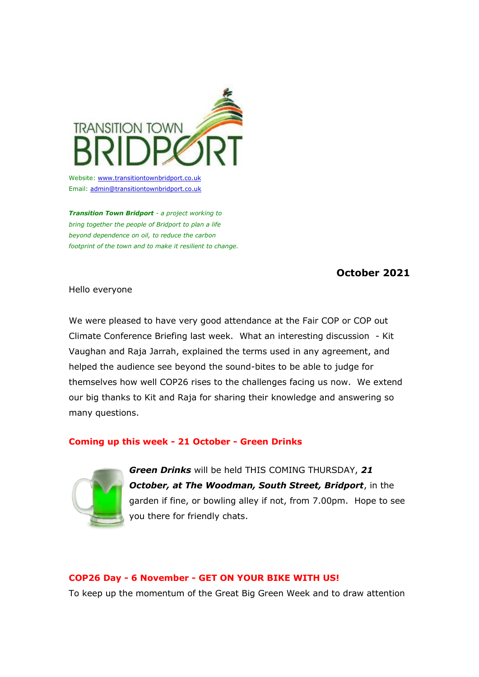

Website: w[ww.transitiontownbridport.co.uk](https://transitiontownbridport.us13.list-manage.com/track/click?u=c5fcbeedffae114d69833f643&id=9d49e97969&e=7424f95957) Email: [admin@transitiontownbridport.co.uk](mailto:admin@transitiontownbridport.co.uk)

*Transition Town Bridport - a project working to bring together the people of Bridport to plan a life beyond dependence on oil, to reduce the carbon footprint of the town and to make it resilient to change.*

# **October 2021**

Hello everyone

We were pleased to have very good attendance at the Fair COP or COP out Climate Conference Briefing last week. What an interesting discussion - Kit Vaughan and Raja Jarrah, explained the terms used in any agreement, and helped the audience see beyond the sound-bites to be able to judge for themselves how well COP26 rises to the challenges facing us now. We extend our big thanks to Kit and Raja for sharing their knowledge and answering so many questions.

## **Coming up this week - 21 October - Green Drinks**



*Green Drinks* will be held THIS COMING THURSDAY, *21 October, at The Woodman, South Street, Bridport*, in the garden if fine, or bowling alley if not, from 7.00pm. Hope to see you there for friendly chats.

## **COP26 Day - 6 November - GET ON YOUR BIKE WITH US!**

To keep up the momentum of the Great Big Green Week and to draw attention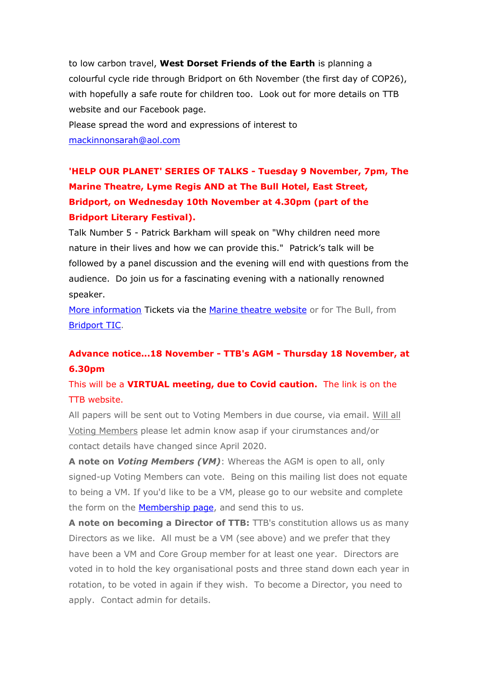to low carbon travel, **West Dorset Friends of the Earth** is planning a colourful cycle ride through Bridport on 6th November (the first day of COP26), with hopefully a safe route for children too. Look out for more details on TTB website and our Facebook page.

Please spread the word and expressions of interest to [mackinnonsarah@aol.com](mailto:mackinnonsarah@aol.com)

**'HELP OUR PLANET' SERIES OF TALKS - Tuesday 9 November, 7pm, The Marine Theatre, Lyme Regis AND at The Bull Hotel, East Street, Bridport, on Wednesday 10th November at 4.30pm (part of the Bridport Literary Festival).**

Talk Number 5 - Patrick Barkham will speak on "Why children need more nature in their lives and how we can provide this." Patrick's talk will be followed by a panel discussion and the evening will end with questions from the audience. Do join us for a fascinating evening with a nationally renowned speaker.

[More information](https://transitiontownbridport.us13.list-manage.com/track/click?u=c5fcbeedffae114d69833f643&id=39f2974bf3&e=7424f95957) Tickets via the [Marine theatre website](https://transitiontownbridport.us13.list-manage.com/track/click?u=c5fcbeedffae114d69833f643&id=f7542cb446&e=7424f95957) or for The Bull, from [Bridport TIC.](https://transitiontownbridport.us13.list-manage.com/track/click?u=c5fcbeedffae114d69833f643&id=cd0e872ae8&e=7424f95957)

# **Advance notice...18 November - TTB's AGM - Thursday 18 November, at 6.30pm**

This will be a **VIRTUAL meeting, due to Covid caution.** The link is on the TTB website.

All papers will be sent out to Voting Members in due course, via email. Will all Voting Members please let admin know asap if your cirumstances and/or contact details have changed since April 2020.

**A note on** *Voting Members (VM)*: Whereas the AGM is open to all, only signed-up Voting Members can vote. Being on this mailing list does not equate to being a VM. If you'd like to be a VM, please go to our website and complete the form on the [Membership page,](https://transitiontownbridport.us13.list-manage.com/track/click?u=c5fcbeedffae114d69833f643&id=f420a089be&e=7424f95957) and send this to us.

**A note on becoming a Director of TTB:** TTB's constitution allows us as many Directors as we like. All must be a VM (see above) and we prefer that they have been a VM and Core Group member for at least one year. Directors are voted in to hold the key organisational posts and three stand down each year in rotation, to be voted in again if they wish. To become a Director, you need to apply. Contact admin for details.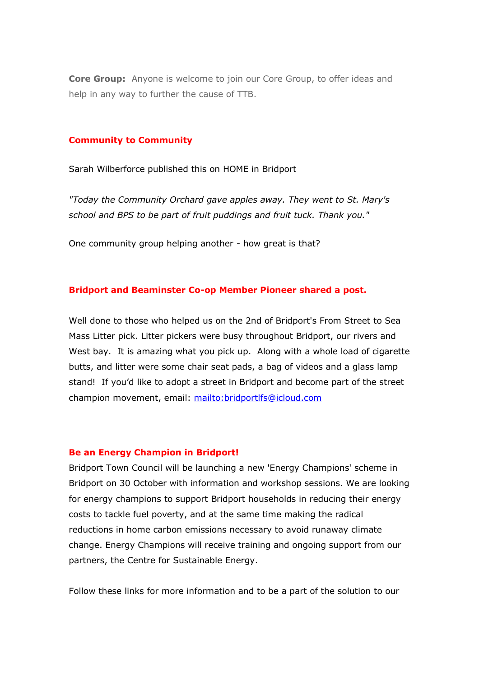**Core Group:** Anyone is welcome to join our Core Group, to offer ideas and help in any way to further the cause of TTB.

#### **Community to Community**

Sarah Wilberforce published this on HOME in Bridport

*"Today the Community Orchard gave apples away. They went to St. Mary's school and BPS to be part of fruit puddings and fruit tuck. Thank you."*

One community group helping another - how great is that?

### **Bridport and Beaminster Co-op Member Pioneer shared a post.**

Well done to those who helped us on the 2nd of Bridport's From Street to Sea Mass Litter pick. Litter pickers were busy throughout Bridport, our rivers and West bay. It is amazing what you pick up. Along with a whole load of cigarette butts, and litter were some chair seat pads, a bag of videos and a glass lamp stand! If you'd like to adopt a street in Bridport and become part of the street champion movement, email:<mailto:bridportlfs@icloud.com>

### **Be an Energy Champion in Bridport!**

Bridport Town Council will be launching a new 'Energy Champions' scheme in Bridport on 30 October with information and workshop sessions. We are looking for energy champions to support Bridport households in reducing their energy costs to tackle fuel poverty, and at the same time making the radical reductions in home carbon emissions necessary to avoid runaway climate change. Energy Champions will receive training and ongoing support from our partners, the Centre for Sustainable Energy.

Follow these links for more information and to be a part of the solution to our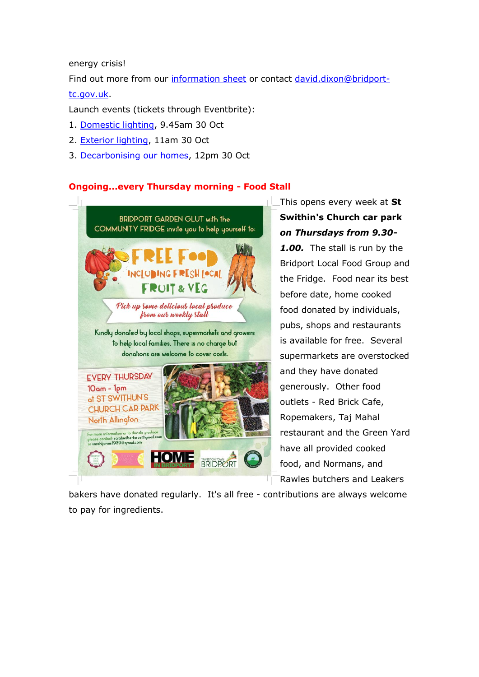energy crisis!

Find out more from our [information sheet](https://transitiontownbridport.us13.list-manage.com/track/click?u=c5fcbeedffae114d69833f643&id=5be48697d3&e=7424f95957) or contact [david.dixon@bridport](mailto:david.dixon@bridport-tc.gov.uk)[tc.gov.uk.](mailto:david.dixon@bridport-tc.gov.uk)

Launch events (tickets through Eventbrite):

- 1. [Domestic lighting,](https://transitiontownbridport.us13.list-manage.com/track/click?u=c5fcbeedffae114d69833f643&id=ca01fdbfc9&e=7424f95957) 9.45am 30 Oct
- 2. [Exterior lighting,](https://transitiontownbridport.us13.list-manage.com/track/click?u=c5fcbeedffae114d69833f643&id=8ec699a9b5&e=7424f95957) 11am 30 Oct
- 3. [Decarbonising our homes,](https://transitiontownbridport.us13.list-manage.com/track/click?u=c5fcbeedffae114d69833f643&id=cff2928dbe&e=7424f95957) 12pm 30 Oct

## **Ongoing...every Thursday morning - Food Stall**



This opens every week at **St Swithin's Church car park** *on Thursdays from 9.30-*

*1.00.* The stall is run by the Bridport Local Food Group and the Fridge. Food near its best before date, home cooked food donated by individuals, pubs, shops and restaurants is available for free. Several supermarkets are overstocked and they have donated generously. Other food outlets - Red Brick Cafe, Ropemakers, Taj Mahal restaurant and the Green Yard have all provided cooked food, and Normans, and Rawles butchers and Leakers

bakers have donated regularly. It's all free - contributions are always welcome to pay for ingredients.